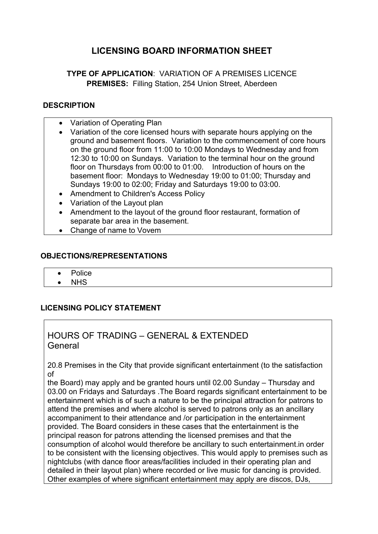# **LICENSING BOARD INFORMATION SHEET**

## **TYPE OF APPLICATION**: VARIATION OF A PREMISES LICENCE **PREMISES:** Filling Station, 254 Union Street, Aberdeen

#### **DESCRIPTION**

- Variation of Operating Plan
- Variation of the core licensed hours with separate hours applying on the ground and basement floors. Variation to the commencement of core hours on the ground floor from 11:00 to 10:00 Mondays to Wednesday and from 12:30 to 10:00 on Sundays. Variation to the terminal hour on the ground floor on Thursdays from 00:00 to 01:00. Introduction of hours on the basement floor: Mondays to Wednesday 19:00 to 01:00; Thursday and Sundays 19:00 to 02:00; Friday and Saturdays 19:00 to 03:00.
- Amendment to Children's Access Policy
- Variation of the Layout plan
- Amendment to the layout of the ground floor restaurant, formation of separate bar area in the basement.
- Change of name to Vovem

#### **OBJECTIONS/REPRESENTATIONS**

- Police
- NHS

### **LICENSING POLICY STATEMENT**

## HOURS OF TRADING – GENERAL & EXTENDED General

20.8 Premises in the City that provide significant entertainment (to the satisfaction of

the Board) may apply and be granted hours until 02.00 Sunday – Thursday and 03.00 on Fridays and Saturdays .The Board regards significant entertainment to be entertainment which is of such a nature to be the principal attraction for patrons to attend the premises and where alcohol is served to patrons only as an ancillary accompaniment to their attendance and /or participation in the entertainment provided. The Board considers in these cases that the entertainment is the principal reason for patrons attending the licensed premises and that the consumption of alcohol would therefore be ancillary to such entertainment.in order to be consistent with the licensing objectives. This would apply to premises such as nightclubs (with dance floor areas/facilities included in their operating plan and detailed in their layout plan) where recorded or live music for dancing is provided. Other examples of where significant entertainment may apply are discos, DJs,